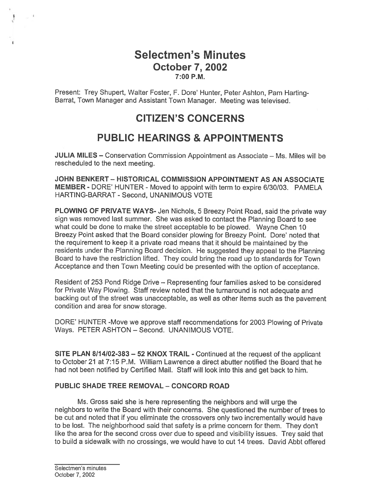## Selectmen's Minutes October 7, 2002 7:00 P.M.

Present: Trey Shupert, Walter Foster, F. Dore' Hunter, Peter Ashton, Pam Harting Barrat, Town Manager and Assistant Town Manager. Meeting was televised.

# CITIZEN'S CONCERNS

# PUBLIC HEARINGS & APPOINTMENTS

JULIA MILES — Conservation Commission Appointment as Associate — Ms. Miles will be rescheduled to the next meeting.

JOHN BENKERT - HISTORICAL COMMISSION APPOINTMENT AS AN ASSOCIATE MEMBER - DORE' HUNTER - Moved to appoint with term to expire 6/30/03. PAMELA HARTING-BARRAT - Second, UNANIMOUS VOTE

PLOWING OF PRIVATE WAYS- Jen Nichols, 5 Breezy Point Road, said the private way sign was removed last summer. She was asked to contact the Planning Board to see what could be done to make the street acceptable to be <sup>p</sup>lowed. Wayne Chen 10 Breezy Point asked that the Board consider plowing for Breezy Point. Dore' noted that the requirement to keep it <sup>a</sup> private road means that it should be maintained by the residents under the Planning Board decision. He suggested they appea<sup>l</sup> to the Planning Board to have the restriction lifted. They could bring the road up to standards for Town Acceptance and then Town Meeting could be presented with the option of acceptance.

Resident of 253 Pond Ridge Drive — Representing four families asked to be considered for Private Way Plowing. Staff review noted that the turnaround is not adequate and backing out of the street was unacceptable, as well as other items such as the pavemen<sup>t</sup> condition and area for snow storage.

DORE' HUNTER -Move we approve staff recommendations for 2003 Plowing of Private Ways. PETER ASHTON — Second. UNANIMOUS VOTE.

SITE PLAN 8114102-383 — 52 KNOX TRAIL - Continued at the reques<sup>t</sup> of the applicant to October21 at 7:15 P.M. William Lawrence <sup>a</sup> direct abutter notified the Board that he had not been notified by Certified Mail. Staff will look into this and ge<sup>t</sup> back to him.

### PUBLIC SHADE TREE REMOVAL - CONCORD ROAD

Ms. Gross said she is here representing the neighbors and will urge the neighbors to write the Board with their concerns. She questioned the number of trees to be cut and noted that if you eliminate the crossovers only two incrementally would have to be lost. The neighborhood said that safety is <sup>a</sup> prime concern for them. They don't like the area for the second cross over due to speed and visibility issues. Trey said that to build <sup>a</sup> sidewalk with no crossings, we would have to cut 14 trees. David Abbt offered

۴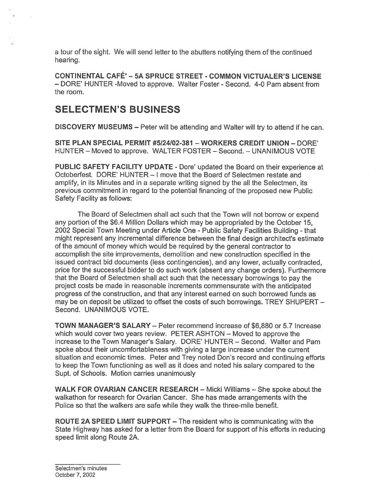<sup>a</sup> tour of the sight. We will send letter to the abutters notifying them of the continued hearing.

CONTINENTAL CAFÉ' -5A SPRUCE STREET - COMMON VICTUALER'S LICENSE — DORE' HUNTER -Moved to approve. Walter Foster - Second. 4-0 Pam absent from the room.

## SELECTMEN'S BUSINESS

DISCOVERY MUSEUMS — Peter will be attending and Walter will try to attend if he can.

SITE PLAN SPECIAL PERMIT #5124/02-381 — WORKERS CREDIT UNION — DORE' HUNTER — Moved to approve. WALTER FOSTER — Second. — UNANIMOUS VOTE

PUBLIC SAFETY FACILITY UPDATE - Dore' updated the Board on their experience at Octoberfest. DORE' HUNTER - I move that the Board of Selectmen restate and amplify, in its Minutes and in <sup>a</sup> separate writing signed by the all the Selectmen, its previous commitment in regard to the potential financing of the proposed new Public Safety Facility as follows:

The Board of Selectmen shall act such that the Town will not borrow or expend any portion of the \$6.4 Million Dollars which may be appropriated by the October 15, 2002 Special Town Meeting under Article One - Public Safety Facilities Building - that might represen<sup>t</sup> any incremental difference between the final design architect's estimate of the amount of money which would be required by the general contractor to accomplish the site improvements, demolition and new construction specified in the issued contract bid documents (less contingencies), and any lower, actually contracted, price for the successful bidder to do such work (absent any change orders). Furthermore that the Board of Selectmen shall act such that the necessary borrowings to pay the project costs be made in reasonable increments commensurate with the anticipated progress of the construction, and that any interest earned on such borrowed funds as may be on deposit be utilized to offset the costs of such borrowings. TREY SHUPERT — Second. UNANIMOUS VOTE.

TOWN MANAGER'S SALARY — Peter recommend increase of \$6,880 or 5.7 Increase which would cover two years review. PETER ASHTON — Moved to approve the increase to the Town Manager's Salary. DORE' HUNTER — Second. Walter and Pam spoke about their uncomfortableness with giving <sup>a</sup> large increase under the current situation and economic times. Peter and Trey noted Don's record and continuing efforts to keep the Town functioning as well as it does and noted his salary compared to the Supt. of Schools. Motion carries unanimously

WALK FOR OVARIAN CANCER RESEARCH — Micki Williams — She spoke about the walkathon for research for Ovarian Cancer. She has made arrangements with the Police so that the walkers are safe while they walk the three-mile benefit.

ROUTE 2A SPEED LIMIT SUPPORT — The resident who is communicating with the State Highway has asked for <sup>a</sup> letter from the Board for suppor<sup>t</sup> of his efforts in reducing speed limit along Route 2A.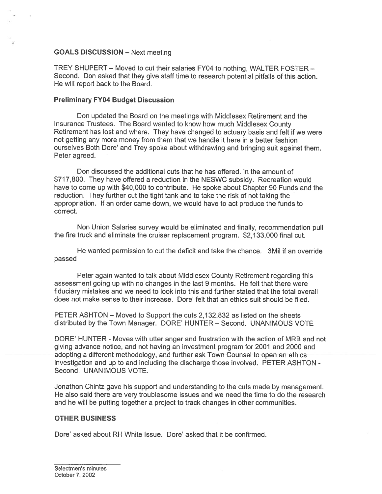#### GOALS DISCUSSION — Next meeting

TREY SHUPERT — Moved to cut their salaries FY04 to nothing, WALTER FOSTER — Second. Don asked that they <sup>g</sup>ive staff time to research potential <sup>p</sup>itfalls of this action. He will repor<sup>t</sup> back to the Board.

#### Preliminary FY04 Budget Discussion

Don updated the Board on the meetings with Middlesex Retirement and the Insurance Trustees. The Board wanted to know how much Middlesex County Retirement has lost and where. They have changed to actuary basis and felt if we were not getting any more money from them that we handle it here in <sup>a</sup> better fashion ourselves Both Dore' and Trey spoke about withdrawing and bringing suit against them. Peter agreed.

Don discussed the additional cuts that he has offered. In the amount of \$717,800. They have offered <sup>a</sup> reduction in the NESWC subsidy. Recreation would have to come up with \$40,000 to contribute. He spoke about Chapter 90 Funds and the reduction. They further cut the tight tank and to take the risk of not taking the appropriation. If an order came down, we would have to act produce the funds to correct.

Non Union Salaries survey would be eliminated and finally, recommendation pull the fire truck and eliminate the cruiser replacement program. \$2,133,000 final cut.

He wanted permission to cut the deficit and take the chance. 3MiI if an override passed

Peter again wanted to talk about Middlesex County Retirement regarding this assessment going up with no changes in the last 9 months. He felt that there were fiduciary mistakes and we need to look into this and further stated that the total overall does not make sense to their increase. Dore' felt that an ethics suit should be filed.

PETER ASHTON — Moved to Support the cuts 2,132,832 as listed on the sheets distributed by the Town Manager. DORE' HUNTER — Second. UNANIMOUS VOTE

DORE' HUNTER - Moves with utter anger and frustration with the action of MRB and not giving advance notice, and not having an investment program for 2001 and 2000 and adopting <sup>a</sup> different methodology, and further ask Town Counsel to open an ethics investigation and up to and including the discharge those involved. PETER ASHTON - Second. UNANIMOUS VOTE.

Jonathon Chintz gave his suppor<sup>t</sup> and understanding to the cuts made by management. He also said there are very troublesome issues and we need the time to do the research and he will be putting together <sup>a</sup> project to track changes in other communities.

### OTHER BUSINESS

Dore' asked about RH White Issue. Dore' asked that it be confirmed.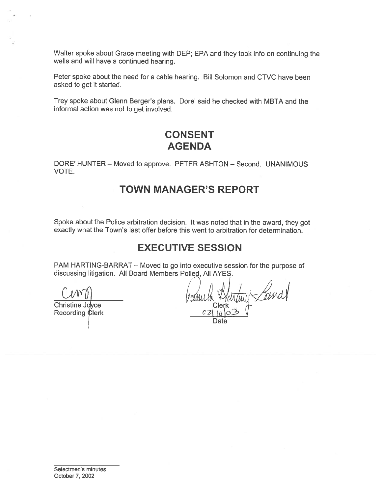Walter spoke about Grace meeting with DEP; EPA and they took info on continuing the wells and will have <sup>a</sup> continued hearing.

Peter spoke about the need for <sup>a</sup> cable hearing. Bill Solomon and CTVC have been asked to ge<sup>t</sup> it started.

Trey spoke about Glenn Berger's plans. Dore' said he checked with MBTA and the informal action was not to ge<sup>t</sup> involved.

## CONSENT AGENDA

DORE' HUNTER — Moved to approve. PETER ASHTON — Second. UNANIMOUS VOTE.

## TOWN MANAGER'S REPORT

Spoke about the Police arbitration decision. It was noted that in the award, they go<sup>t</sup> exactly what the Town's last offer before this went to arbitration for determination.

## EXECUTIVE SESSION

PAM HARTING-BARRAT — Moved to go into executive session for the purpose of discussing litigation. All Board Members Polled, All AYES.

Christine Joyce Recording Clerk

Landt Date

Selectmen's minutes October 7, 2002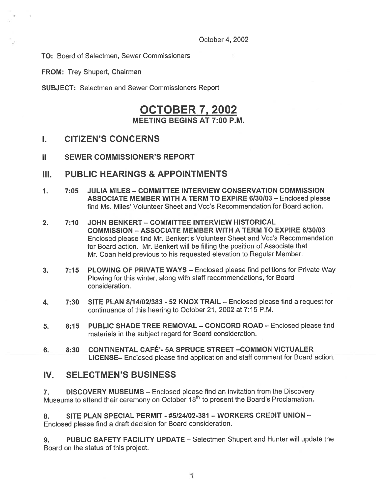October 4, 2002

TO: Board of Selectmen, Sewer Commissioners

FROM: Trey Shupert, Chairman

SUBJECT: Selectmen and Sewer Commissioners Report

## OCTOBER 7, 2002 MEETING BEGINS AT 7:00 P.M.

### I. CITIZEN'S CONCERNS

II SEWER COMMISSIONER'S REPORT

### III. PUBLIC HEARINGS & APPOINTMENTS

- 1. 7:05 JULIA MILES COMMITTEE INTERVIEW CONSERVATION COMMISSION ASSOCIATE MEMBER WITH A TERM TO EXPIRE 6/30/03 — Enclosed please find Ms. Miles' Volunteer Sheet and Vcc's Recommendation for Board action.
- 2. 7:10 JOHN BENKERT— COMMITTEE INTERVIEW HISTORICAL COMMISSION — ASSOCIATE MEMBER WITH A TERM TO EXPIRE 6130/03 Enclosed <sup>p</sup>lease find Mr. Benkert's Volunteer Sheet and Vcc's Recommendation for Board action. Mr. Benkert will be filling the position of Associate that Mr. Coan held previous to his requested elevation to Regular Member.
- 3. 7:15 PLOWING OF PRIVATE WAYS Enclosed please find petitions for Private Way Plowing for this winter, along with staff recommendations, for Board consideration.
- 4. 7:30 SITE PLAN 8/14/02/383 52 KNOX TRAIL Enclosed please find a request for continuance of this hearing to October 21, 2002 at 7:15 P.M.
- 5. 8:15 PUBLIC SHADE TREE REMOVAL CONCORD ROAD Enclosed please find materials in the subject regard for Board consideration.
- 6. 8:30 CONTINENTAL CAFÉ'- 5A SPRUCE STREET —COMMON VICTUALER LICENSE— Enclosed <sup>p</sup>lease find application and staff comment for Board action.

## IV. SELECTMEN'S BUSINESS

7. DISCOVERY MUSEUMS — Enclosed please find an invitation from the Discovery Museums to attend their ceremony on October 18<sup>th</sup> to present the Board's Proclamation.

8. SITE PLAN SPECIAL PERMIT - #5I24/02-381 — WORKERS CREDIT UNION — Enclosed <sup>p</sup>lease find <sup>a</sup> draft decision for Board consideration.

9. PUBLIC SAFETY FACILITY UPDATE - Selectmen Shupert and Hunter will update the Board on the status of this project.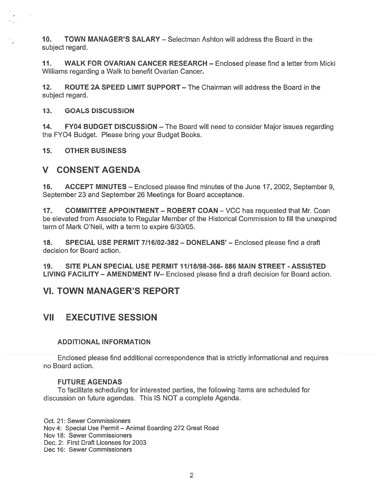10. TOWN MANAGER'S SALARY — Selectman Ashton will address the Board in the subject regard.

11. WALK FOR OVARIAN CANCER RESEARCH — Enclosed please find <sup>a</sup> letter from Micki Williams regarding <sup>a</sup> Walk to benefit Ovarian Cancer.

12. ROUTE 2A SPEED LIMIT SUPPORT — The Chairman will address the Board in the subject regard.

13. GOALS DISCUSSION

14. FY04 BUDGET DISCUSSION — The Board will need to consider Major issues regarding the FY04 Budget. Please bring your Budget Books.

15. OTHER BUSINESS

### V CONSENT AGENDA

16. ACCEPT MINUTES — Enclosed please find minutes of the June 17, 2002, September 9, September 23 and September 26 Meetings for Board acceptance.

17. COMMITTEE APPOINTMENT – ROBERT COAN – VCC has requested that Mr. Coan be elevated from Associate to Regular Member of the Historical Commission to fill the unexpired term of Mark O'Neil, with <sup>a</sup> term to expire 6/30/05.

18. SPECIAL USE PERMIT 7/16/02-382 - DONELANS' - Enclosed please find a draft decision for Board action.

19. SITE PLAN SPECIAL USE PERMIT 11/18198-366- 886 MAIN STREET - ASSISTED LIVING FACILITY — AMENDMENT IV— Enclosed please find <sup>a</sup> draft decision for Board action.

### VI. TOWN MANAGER'S REPORT

### VII EXECUTIVE SESSION

#### ADDITIONAL INFORMATION

Enclosed please find additional correspondence that is strictly informational and requires no Board action.

#### FUTURE AGENDAS

To facilitate scheduling for interested parties, the following items are scheduled for discussion on future agendas. This IS NOT <sup>a</sup> complete Agenda.

Oct. 21: Sewer Commissioners Nov 4: Special Use Permit — Animal Boarding 272 Great Road Nov 18: Sewer Commissioners Dec. 2: First Draft Licenses for 2003 Dec 16: Sewer Commissioners